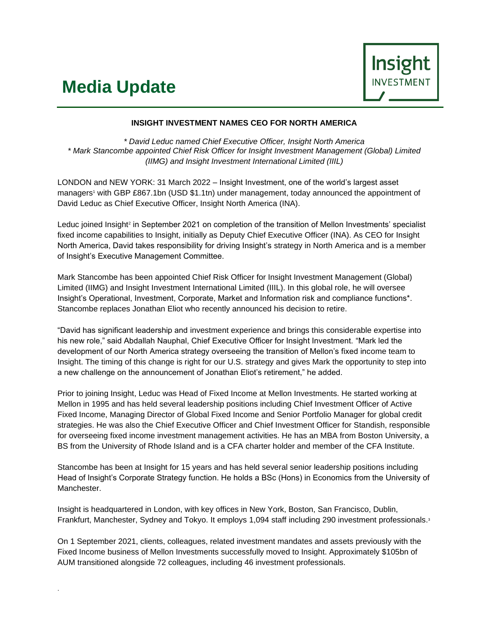## **Media Update**

.



## **INSIGHT INVESTMENT NAMES CEO FOR NORTH AMERICA**

*\* David Leduc named Chief Executive Officer, Insight North America \* Mark Stancombe appointed Chief Risk Officer for Insight Investment Management (Global) Limited (IIMG) and Insight Investment International Limited (IIIL)*

LONDON and NEW YORK: 31 March 2022 – Insight Investment, one of the world's largest asset managers<sup>1</sup> with GBP £867.1bn (USD \$1.1tn) under management, today announced the appointment of David Leduc as Chief Executive Officer, Insight North America (INA).

Leduc joined Insight<sup>2</sup> in September 2021 on completion of the transition of Mellon Investments' specialist fixed income capabilities to Insight, initially as Deputy Chief Executive Officer (INA). As CEO for Insight North America, David takes responsibility for driving Insight's strategy in North America and is a member of Insight's Executive Management Committee.

Mark Stancombe has been appointed Chief Risk Officer for Insight Investment Management (Global) Limited (IIMG) and Insight Investment International Limited (IIIL). In this global role, he will oversee Insight's Operational, Investment, Corporate, Market and Information risk and compliance functions\*. Stancombe replaces Jonathan Eliot who recently announced his decision to retire.

"David has significant leadership and investment experience and brings this considerable expertise into his new role," said Abdallah Nauphal, Chief Executive Officer for Insight Investment. "Mark led the development of our North America strategy overseeing the transition of Mellon's fixed income team to Insight. The timing of this change is right for our U.S. strategy and gives Mark the opportunity to step into a new challenge on the announcement of Jonathan Eliot's retirement," he added.

Prior to joining Insight, Leduc was Head of Fixed Income at Mellon Investments. He started working at Mellon in 1995 and has held several leadership positions including Chief Investment Officer of Active Fixed Income, Managing Director of Global Fixed Income and Senior Portfolio Manager for global credit strategies. He was also the Chief Executive Officer and Chief Investment Officer for Standish, responsible for overseeing fixed income investment management activities. He has an MBA from Boston University, a BS from the University of Rhode Island and is a CFA charter holder and member of the CFA Institute.

Stancombe has been at Insight for 15 years and has held several senior leadership positions including Head of Insight's Corporate Strategy function. He holds a BSc (Hons) in Economics from the University of Manchester.

Insight is headquartered in London, with key offices in New York, Boston, San Francisco, Dublin, Frankfurt, Manchester, Sydney and Tokyo. It employs 1,094 staff including 290 investment professionals.<sup>3</sup>

On 1 September 2021, clients, colleagues, related investment mandates and assets previously with the Fixed Income business of Mellon Investments successfully moved to Insight. Approximately \$105bn of AUM transitioned alongside 72 colleagues, including 46 investment professionals.